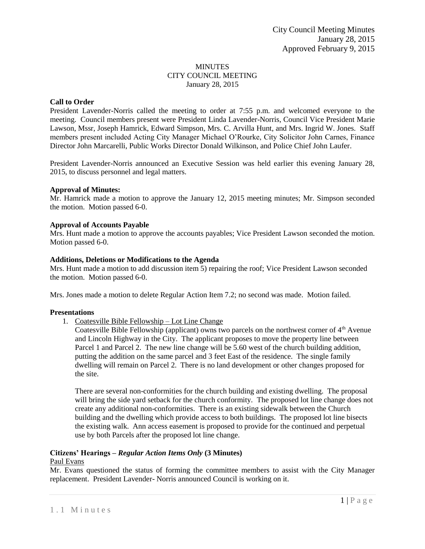# MINUTES CITY COUNCIL MEETING January 28, 2015

# **Call to Order**

President Lavender-Norris called the meeting to order at 7:55 p.m. and welcomed everyone to the meeting. Council members present were President Linda Lavender-Norris, Council Vice President Marie Lawson, Mssr, Joseph Hamrick, Edward Simpson, Mrs. C. Arvilla Hunt, and Mrs. Ingrid W. Jones. Staff members present included Acting City Manager Michael O'Rourke, City Solicitor John Carnes, Finance Director John Marcarelli, Public Works Director Donald Wilkinson, and Police Chief John Laufer.

President Lavender-Norris announced an Executive Session was held earlier this evening January 28, 2015, to discuss personnel and legal matters.

## **Approval of Minutes:**

Mr. Hamrick made a motion to approve the January 12, 2015 meeting minutes; Mr. Simpson seconded the motion. Motion passed 6-0.

## **Approval of Accounts Payable**

Mrs. Hunt made a motion to approve the accounts payables; Vice President Lawson seconded the motion. Motion passed 6-0.

## **Additions, Deletions or Modifications to the Agenda**

Mrs. Hunt made a motion to add discussion item 5) repairing the roof; Vice President Lawson seconded the motion. Motion passed 6-0.

Mrs. Jones made a motion to delete Regular Action Item 7.2; no second was made. Motion failed.

# **Presentations**

1. Coatesville Bible Fellowship – Lot Line Change

Coatesville Bible Fellowship (applicant) owns two parcels on the northwest corner of  $4<sup>th</sup>$  Avenue and Lincoln Highway in the City. The applicant proposes to move the property line between Parcel 1 and Parcel 2. The new line change will be 5.60 west of the church building addition, putting the addition on the same parcel and 3 feet East of the residence. The single family dwelling will remain on Parcel 2. There is no land development or other changes proposed for the site.

There are several non-conformities for the church building and existing dwelling. The proposal will bring the side yard setback for the church conformity. The proposed lot line change does not create any additional non-conformities. There is an existing sidewalk between the Church building and the dwelling which provide access to both buildings. The proposed lot line bisects the existing walk. Ann access easement is proposed to provide for the continued and perpetual use by both Parcels after the proposed lot line change.

#### **Citizens' Hearings –** *Regular Action Items Only* **(3 Minutes)** Paul Evans

# Mr. Evans questioned the status of forming the committee members to assist with the City Manager replacement. President Lavender- Norris announced Council is working on it.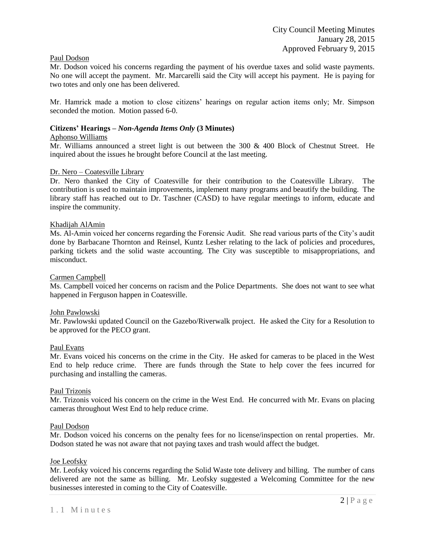# Paul Dodson

Mr. Dodson voiced his concerns regarding the payment of his overdue taxes and solid waste payments. No one will accept the payment. Mr. Marcarelli said the City will accept his payment. He is paying for two totes and only one has been delivered.

Mr. Hamrick made a motion to close citizens' hearings on regular action items only; Mr. Simpson seconded the motion. Motion passed 6-0.

## **Citizens' Hearings –** *Non-Agenda Items Only* **(3 Minutes)**

## Aphonso Williams

Mr. Williams announced a street light is out between the 300 & 400 Block of Chestnut Street. He inquired about the issues he brought before Council at the last meeting.

#### Dr. Nero – Coatesville Library

Dr. Nero thanked the City of Coatesville for their contribution to the Coatesville Library. The contribution is used to maintain improvements, implement many programs and beautify the building. The library staff has reached out to Dr. Taschner (CASD) to have regular meetings to inform, educate and inspire the community.

## Khadijah AlAmin

Ms. Al-Amin voiced her concerns regarding the Forensic Audit. She read various parts of the City's audit done by Barbacane Thornton and Reinsel, Kuntz Lesher relating to the lack of policies and procedures, parking tickets and the solid waste accounting. The City was susceptible to misappropriations, and misconduct.

#### Carmen Campbell

Ms. Campbell voiced her concerns on racism and the Police Departments. She does not want to see what happened in Ferguson happen in Coatesville.

#### John Pawlowski

Mr. Pawlowski updated Council on the Gazebo/Riverwalk project. He asked the City for a Resolution to be approved for the PECO grant.

#### Paul Evans

Mr. Evans voiced his concerns on the crime in the City. He asked for cameras to be placed in the West End to help reduce crime. There are funds through the State to help cover the fees incurred for purchasing and installing the cameras.

#### Paul Trizonis

Mr. Trizonis voiced his concern on the crime in the West End. He concurred with Mr. Evans on placing cameras throughout West End to help reduce crime.

#### Paul Dodson

Mr. Dodson voiced his concerns on the penalty fees for no license/inspection on rental properties. Mr. Dodson stated he was not aware that not paying taxes and trash would affect the budget.

#### Joe Leofsky

Mr. Leofsky voiced his concerns regarding the Solid Waste tote delivery and billing. The number of cans delivered are not the same as billing. Mr. Leofsky suggested a Welcoming Committee for the new businesses interested in coming to the City of Coatesville.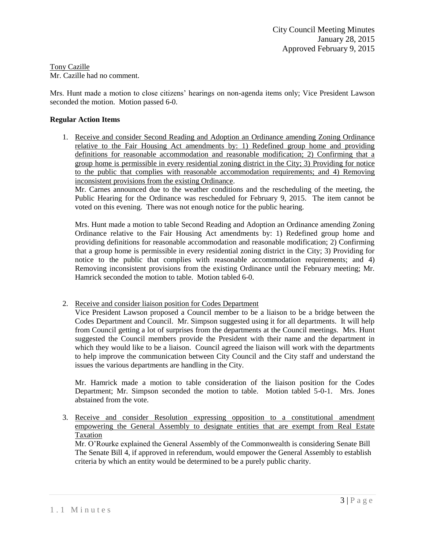#### Tony Cazille Mr. Cazille had no comment.

Mrs. Hunt made a motion to close citizens' hearings on non-agenda items only; Vice President Lawson seconded the motion. Motion passed 6-0.

# **Regular Action Items**

1. Receive and consider Second Reading and Adoption an Ordinance amending Zoning Ordinance relative to the Fair Housing Act amendments by: 1) Redefined group home and providing definitions for reasonable accommodation and reasonable modification; 2) Confirming that a group home is permissible in every residential zoning district in the City; 3) Providing for notice to the public that complies with reasonable accommodation requirements; and 4) Removing inconsistent provisions from the existing Ordinance.

Mr. Carnes announced due to the weather conditions and the rescheduling of the meeting, the Public Hearing for the Ordinance was rescheduled for February 9, 2015. The item cannot be voted on this evening. There was not enough notice for the public hearing.

Mrs. Hunt made a motion to table Second Reading and Adoption an Ordinance amending Zoning Ordinance relative to the Fair Housing Act amendments by: 1) Redefined group home and providing definitions for reasonable accommodation and reasonable modification; 2) Confirming that a group home is permissible in every residential zoning district in the City; 3) Providing for notice to the public that complies with reasonable accommodation requirements; and 4) Removing inconsistent provisions from the existing Ordinance until the February meeting; Mr. Hamrick seconded the motion to table. Motion tabled 6-0.

# 2. Receive and consider liaison position for Codes Department

Vice President Lawson proposed a Council member to be a liaison to be a bridge between the Codes Department and Council. Mr. Simpson suggested using it for all departments. It will help from Council getting a lot of surprises from the departments at the Council meetings. Mrs. Hunt suggested the Council members provide the President with their name and the department in which they would like to be a liaison. Council agreed the liaison will work with the departments to help improve the communication between City Council and the City staff and understand the issues the various departments are handling in the City.

Mr. Hamrick made a motion to table consideration of the liaison position for the Codes Department; Mr. Simpson seconded the motion to table. Motion tabled 5-0-1. Mrs. Jones abstained from the vote.

3. Receive and consider Resolution expressing opposition to a constitutional amendment empowering the General Assembly to designate entities that are exempt from Real Estate Taxation

Mr. O'Rourke explained the General Assembly of the Commonwealth is considering Senate Bill The Senate Bill 4, if approved in referendum, would empower the General Assembly to establish criteria by which an entity would be determined to be a purely public charity.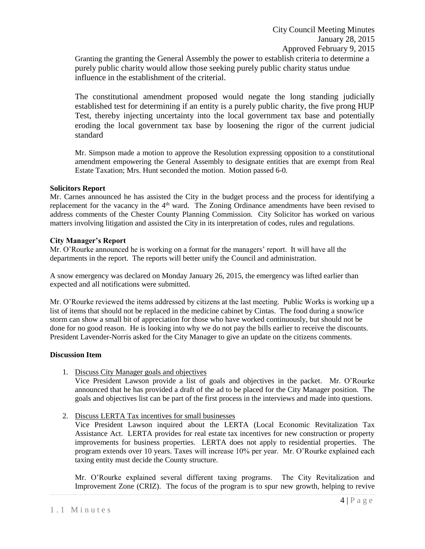Granting the granting the General Assembly the power to establish criteria to determine a purely public charity would allow those seeking purely public charity status undue influence in the establishment of the criterial.

The constitutional amendment proposed would negate the long standing judicially established test for determining if an entity is a purely public charity, the five prong HUP Test, thereby injecting uncertainty into the local government tax base and potentially eroding the local government tax base by loosening the rigor of the current judicial standard

Mr. Simpson made a motion to approve the Resolution expressing opposition to a constitutional amendment empowering the General Assembly to designate entities that are exempt from Real Estate Taxation; Mrs. Hunt seconded the motion. Motion passed 6-0.

## **Solicitors Report**

Mr. Carnes announced he has assisted the City in the budget process and the process for identifying a replacement for the vacancy in the 4<sup>th</sup> ward. The Zoning Ordinance amendments have been revised to address comments of the Chester County Planning Commission. City Solicitor has worked on various matters involving litigation and assisted the City in its interpretation of codes, rules and regulations.

# **City Manager's Report**

Mr. O'Rourke announced he is working on a format for the managers' report. It will have all the departments in the report. The reports will better unify the Council and administration.

A snow emergency was declared on Monday January 26, 2015, the emergency was lifted earlier than expected and all notifications were submitted.

Mr. O'Rourke reviewed the items addressed by citizens at the last meeting. Public Works is working up a list of items that should not be replaced in the medicine cabinet by Cintas. The food during a snow/ice storm can show a small bit of appreciation for those who have worked continuously, but should not be done for no good reason. He is looking into why we do not pay the bills earlier to receive the discounts. President Lavender-Norris asked for the City Manager to give an update on the citizens comments.

# **Discussion Item**

1. Discuss City Manager goals and objectives

Vice President Lawson provide a list of goals and objectives in the packet. Mr. O'Rourke announced that he has provided a draft of the ad to be placed for the City Manager position. The goals and objectives list can be part of the first process in the interviews and made into questions.

2. Discuss LERTA Tax incentives for small businesses

Vice President Lawson inquired about the LERTA (Local Economic Revitalization Tax Assistance Act. LERTA provides for real estate tax incentives for new construction or property improvements for business properties. LERTA does not apply to residential properties. The program extends over 10 years. Taxes will increase 10% per year. Mr. O'Rourke explained each taxing entity must decide the County structure.

Mr. O'Rourke explained several different taxing programs. The City Revitalization and Improvement Zone (CRIZ). The focus of the program is to spur new growth, helping to revive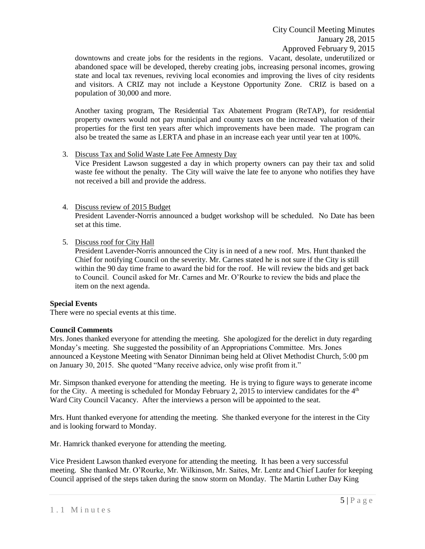downtowns and create jobs for the residents in the regions. Vacant, desolate, underutilized or abandoned space will be developed, thereby creating jobs, increasing personal incomes, growing state and local tax revenues, reviving local economies and improving the lives of city residents and visitors. A CRIZ may not include a Keystone Opportunity Zone. CRIZ is based on a population of 30,000 and more.

Another taxing program, The Residential Tax Abatement Program (ReTAP), for residential property owners would not pay municipal and county taxes on the increased valuation of their properties for the first ten years after which improvements have been made. The program can also be treated the same as LERTA and phase in an increase each year until year ten at 100%.

# 3. Discuss Tax and Solid Waste Late Fee Amnesty Day

Vice President Lawson suggested a day in which property owners can pay their tax and solid waste fee without the penalty. The City will waive the late fee to anyone who notifies they have not received a bill and provide the address.

- 4. Discuss review of 2015 Budget President Lavender-Norris announced a budget workshop will be scheduled. No Date has been set at this time.
- 5. Discuss roof for City Hall

President Lavender-Norris announced the City is in need of a new roof. Mrs. Hunt thanked the Chief for notifying Council on the severity. Mr. Carnes stated he is not sure if the City is still within the 90 day time frame to award the bid for the roof. He will review the bids and get back to Council. Council asked for Mr. Carnes and Mr. O'Rourke to review the bids and place the item on the next agenda.

# **Special Events**

There were no special events at this time.

# **Council Comments**

Mrs. Jones thanked everyone for attending the meeting. She apologized for the derelict in duty regarding Monday's meeting. She suggested the possibility of an Appropriations Committee. Mrs. Jones announced a Keystone Meeting with Senator Dinniman being held at Olivet Methodist Church, 5:00 pm on January 30, 2015. She quoted "Many receive advice, only wise profit from it."

Mr. Simpson thanked everyone for attending the meeting. He is trying to figure ways to generate income for the City. A meeting is scheduled for Monday February 2, 2015 to interview candidates for the  $4<sup>th</sup>$ Ward City Council Vacancy. After the interviews a person will be appointed to the seat.

Mrs. Hunt thanked everyone for attending the meeting. She thanked everyone for the interest in the City and is looking forward to Monday.

Mr. Hamrick thanked everyone for attending the meeting.

Vice President Lawson thanked everyone for attending the meeting. It has been a very successful meeting. She thanked Mr. O'Rourke, Mr. Wilkinson, Mr. Saites, Mr. Lentz and Chief Laufer for keeping Council apprised of the steps taken during the snow storm on Monday. The Martin Luther Day King